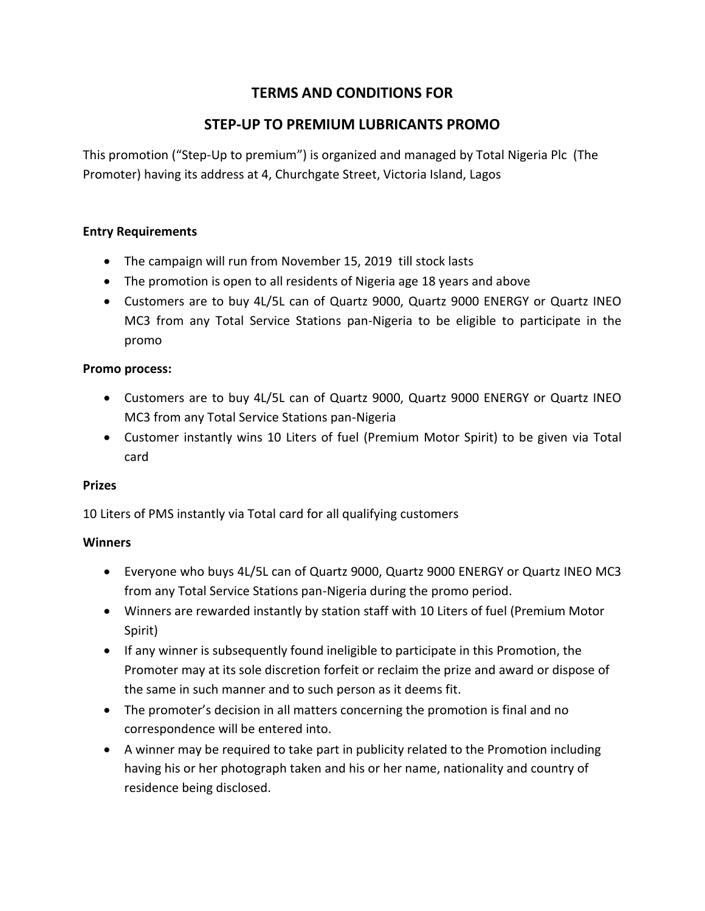# **TERMS AND CONDITIONS FOR**

## **STEP-UP TO PREMIUM LUBRICANTS PROMO**

This promotion ("Step-Up to premium") is organized and managed by Total Nigeria Plc (The Promoter) having its address at 4, Churchgate Street, Victoria Island, Lagos

#### **Entry Requirements**

- The campaign will run from November 15, 2019 till stock lasts
- The promotion is open to all residents of Nigeria age 18 years and above
- Customers are to buy 4L/5L can of Quartz 9000, Quartz 9000 ENERGY or Quartz INEO MC3 from any Total Service Stations pan-Nigeria to be eligible to participate in the promo

#### **Promo process:**

- Customers are to buy 4L/5L can of Quartz 9000, Quartz 9000 ENERGY or Quartz INEO MC3 from any Total Service Stations pan-Nigeria
- Customer instantly wins 10 Liters of fuel (Premium Motor Spirit) to be given via Total card

#### **Prizes**

10 Liters of PMS instantly via Total card for all qualifying customers

#### **Winners**

- Everyone who buys 4L/5L can of Quartz 9000, Quartz 9000 ENERGY or Quartz INEO MC3 from any Total Service Stations pan-Nigeria during the promo period.
- Winners are rewarded instantly by station staff with 10 Liters of fuel (Premium Motor Spirit)
- If any winner is subsequently found ineligible to participate in this Promotion, the Promoter may at its sole discretion forfeit or reclaim the prize and award or dispose of the same in such manner and to such person as it deems fit.
- The promoter's decision in all matters concerning the promotion is final and no correspondence will be entered into.
- A winner may be required to take part in publicity related to the Promotion including having his or her photograph taken and his or her name, nationality and country of residence being disclosed.